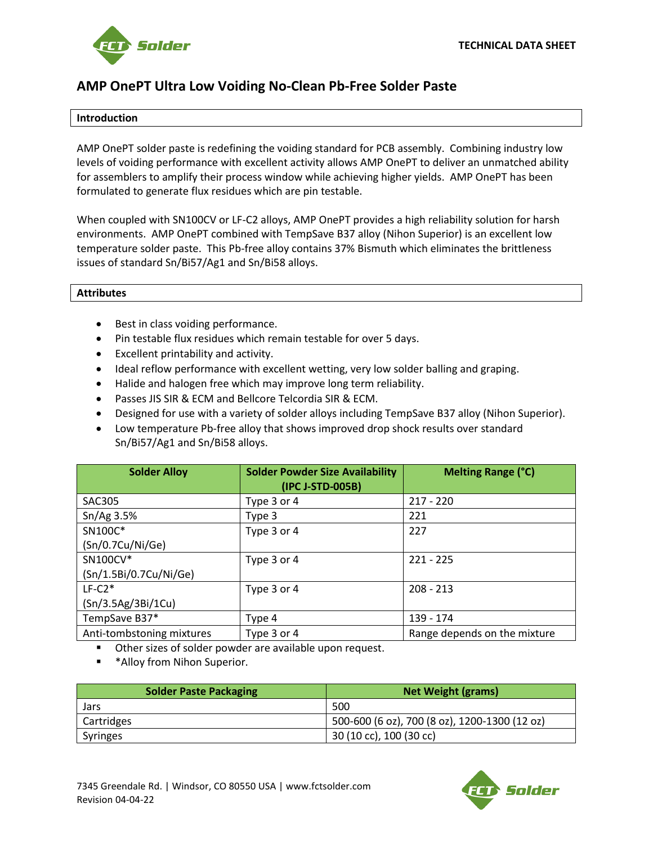

# **AMP OnePT Ultra Low Voiding No-Clean Pb-Free Solder Paste**

### **Introduction**

AMP OnePT solder paste is redefining the voiding standard for PCB assembly. Combining industry low levels of voiding performance with excellent activity allows AMP OnePT to deliver an unmatched ability for assemblers to amplify their process window while achieving higher yields. AMP OnePT has been formulated to generate flux residues which are pin testable.

When coupled with SN100CV or LF-C2 alloys, AMP OnePT provides a high reliability solution for harsh environments. AMP OnePT combined with TempSave B37 alloy (Nihon Superior) is an excellent low temperature solder paste. This Pb-free alloy contains 37% Bismuth which eliminates the brittleness issues of standard Sn/Bi57/Ag1 and Sn/Bi58 alloys.

#### **Attributes**

- Best in class voiding performance.
- Pin testable flux residues which remain testable for over 5 days.
- Excellent printability and activity.
- Ideal reflow performance with excellent wetting, very low solder balling and graping.
- Halide and halogen free which may improve long term reliability.
- Passes JIS SIR & ECM and Bellcore Telcordia SIR & ECM.
- Designed for use with a variety of solder alloys including TempSave B37 alloy (Nihon Superior).
- Low temperature Pb-free alloy that shows improved drop shock results over standard Sn/Bi57/Ag1 and Sn/Bi58 alloys.

| <b>Solder Alloy</b>       | <b>Solder Powder Size Availability</b><br>(IPC J-STD-005B) | Melting Range (°C)           |
|---------------------------|------------------------------------------------------------|------------------------------|
| <b>SAC305</b>             | Type 3 or 4                                                | $217 - 220$                  |
| Sn/Ag3.5%                 | Type 3                                                     | 221                          |
| SN100C*                   | Type 3 or 4                                                | 227                          |
| (Sn/0.7Cu/Ni/Ge)          |                                                            |                              |
| SN100CV*                  | Type 3 or 4                                                | $221 - 225$                  |
| (Sn/1.5Bi/0.7Cu/Ni/Ge)    |                                                            |                              |
| $LF-C2*$                  | Type 3 or 4                                                | $208 - 213$                  |
| (Sn/3.5Ag/3Bi/1Cu)        |                                                            |                              |
| TempSave B37*             | Type 4                                                     | 139 - 174                    |
| Anti-tombstoning mixtures | Type 3 or 4                                                | Range depends on the mixture |

Other sizes of solder powder are available upon request.

\* Alloy from Nihon Superior.

| <b>Solder Paste Packaging</b> | <b>Net Weight (grams)</b>                     |
|-------------------------------|-----------------------------------------------|
| Jars                          | 500                                           |
| Cartridges                    | 500-600 (6 oz), 700 (8 oz), 1200-1300 (12 oz) |
| <b>Syringes</b>               | 30 (10 cc), 100 (30 cc)                       |

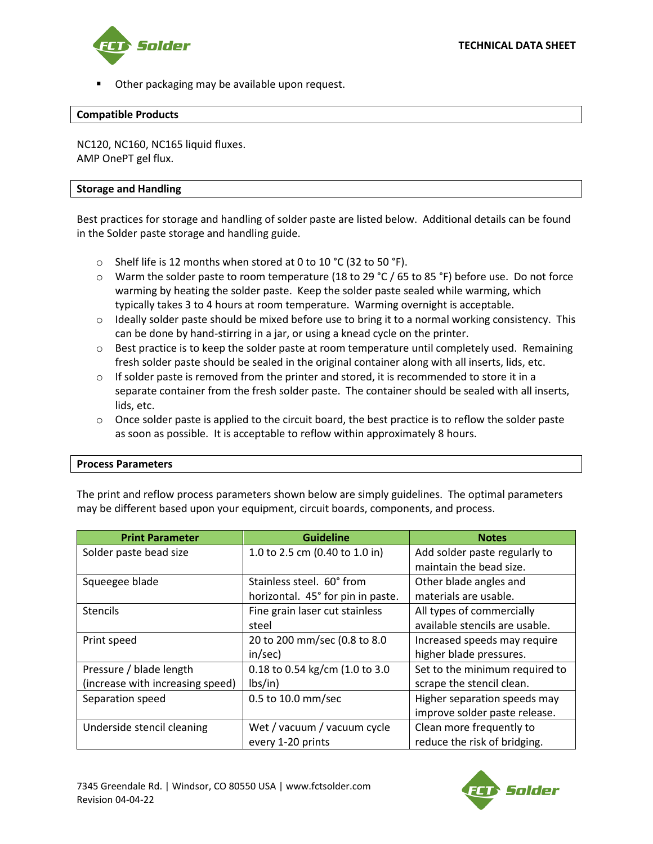

Other packaging may be available upon request.

#### **Compatible Products**

NC120, NC160, NC165 liquid fluxes. AMP OnePT gel flux.

#### **Storage and Handling**

Best practices for storage and handling of solder paste are listed below. Additional details can be found in the Solder paste storage and handling guide.

- $\circ$  Shelf life is 12 months when stored at 0 to 10 °C (32 to 50 °F).
- $\circ$  Warm the solder paste to room temperature (18 to 29 °C / 65 to 85 °F) before use. Do not force warming by heating the solder paste. Keep the solder paste sealed while warming, which typically takes 3 to 4 hours at room temperature. Warming overnight is acceptable.
- $\circ$  Ideally solder paste should be mixed before use to bring it to a normal working consistency. This can be done by hand-stirring in a jar, or using a knead cycle on the printer.
- $\circ$  Best practice is to keep the solder paste at room temperature until completely used. Remaining fresh solder paste should be sealed in the original container along with all inserts, lids, etc.
- $\circ$  If solder paste is removed from the printer and stored, it is recommended to store it in a separate container from the fresh solder paste. The container should be sealed with all inserts, lids, etc.
- $\circ$  Once solder paste is applied to the circuit board, the best practice is to reflow the solder paste as soon as possible. It is acceptable to reflow within approximately 8 hours.

#### **Process Parameters**

The print and reflow process parameters shown below are simply guidelines. The optimal parameters may be different based upon your equipment, circuit boards, components, and process.

| <b>Print Parameter</b>           | <b>Guideline</b>                  | <b>Notes</b>                   |
|----------------------------------|-----------------------------------|--------------------------------|
| Solder paste bead size           | 1.0 to 2.5 cm (0.40 to 1.0 in)    | Add solder paste regularly to  |
|                                  |                                   | maintain the bead size.        |
| Squeegee blade                   | Stainless steel. 60° from         | Other blade angles and         |
|                                  | horizontal. 45° for pin in paste. | materials are usable.          |
| <b>Stencils</b>                  | Fine grain laser cut stainless    | All types of commercially      |
|                                  | steel                             | available stencils are usable. |
| Print speed                      | 20 to 200 mm/sec (0.8 to 8.0      | Increased speeds may require   |
|                                  | in/sec)                           | higher blade pressures.        |
| Pressure / blade length          | 0.18 to 0.54 kg/cm (1.0 to 3.0)   | Set to the minimum required to |
| (increase with increasing speed) | lbs/in)                           | scrape the stencil clean.      |
| Separation speed                 | 0.5 to 10.0 mm/sec                | Higher separation speeds may   |
|                                  |                                   | improve solder paste release.  |
| Underside stencil cleaning       | Wet / vacuum / vacuum cycle       | Clean more frequently to       |
|                                  | every 1-20 prints                 | reduce the risk of bridging.   |

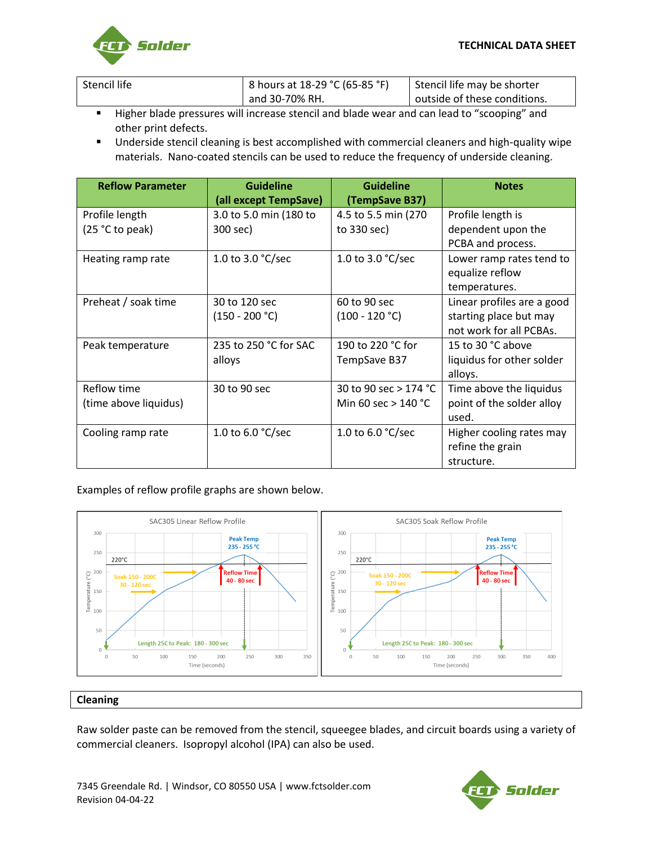

| Stencil life | 8 hours at 18-29 °C (65-85 °F) | Stencil life may be shorter  |
|--------------|--------------------------------|------------------------------|
|              | and 30-70% RH.                 | outside of these conditions. |

- Higher blade pressures will increase stencil and blade wear and can lead to "scooping" and other print defects.
- Underside stencil cleaning is best accomplished with commercial cleaners and high-quality wipe materials. Nano-coated stencils can be used to reduce the frequency of underside cleaning.

| <b>Reflow Parameter</b> | <b>Guideline</b><br>(all except TempSave) | <b>Guideline</b><br>(TempSave B37) | <b>Notes</b>               |
|-------------------------|-------------------------------------------|------------------------------------|----------------------------|
| Profile length          | 3.0 to 5.0 min (180 to                    | 4.5 to 5.5 min (270)               | Profile length is          |
| $(25 °C)$ to peak)      | 300 sec)                                  | to 330 sec)                        | dependent upon the         |
|                         |                                           |                                    | PCBA and process.          |
| Heating ramp rate       | 1.0 to 3.0 $°C/sec$                       | 1.0 to 3.0 $°C/sec$                | Lower ramp rates tend to   |
|                         |                                           |                                    | equalize reflow            |
|                         |                                           |                                    | temperatures.              |
| Preheat / soak time     | 30 to 120 sec                             | 60 to 90 sec                       | Linear profiles are a good |
|                         | $(150 - 200 °C)$                          | $(100 - 120 °C)$                   | starting place but may     |
|                         |                                           |                                    | not work for all PCBAs.    |
| Peak temperature        | 235 to 250 °C for SAC                     | 190 to 220 °C for                  | 15 to 30 °C above          |
|                         | alloys                                    | TempSave B37                       | liquidus for other solder  |
|                         |                                           |                                    | alloys.                    |
| Reflow time             | 30 to 90 sec                              | 30 to 90 sec $>$ 174 °C            | Time above the liquidus    |
| (time above liquidus)   |                                           | Min 60 sec $>$ 140 °C              | point of the solder alloy  |
|                         |                                           |                                    | used.                      |
| Cooling ramp rate       | 1.0 to 6.0 $\degree$ C/sec                | 1.0 to 6.0 $\degree$ C/sec         | Higher cooling rates may   |
|                         |                                           |                                    | refine the grain           |
|                         |                                           |                                    | structure.                 |

## Examples of reflow profile graphs are shown below.



#### **Cleaning**

Raw solder paste can be removed from the stencil, squeegee blades, and circuit boards using a variety of commercial cleaners. Isopropyl alcohol (IPA) can also be used.